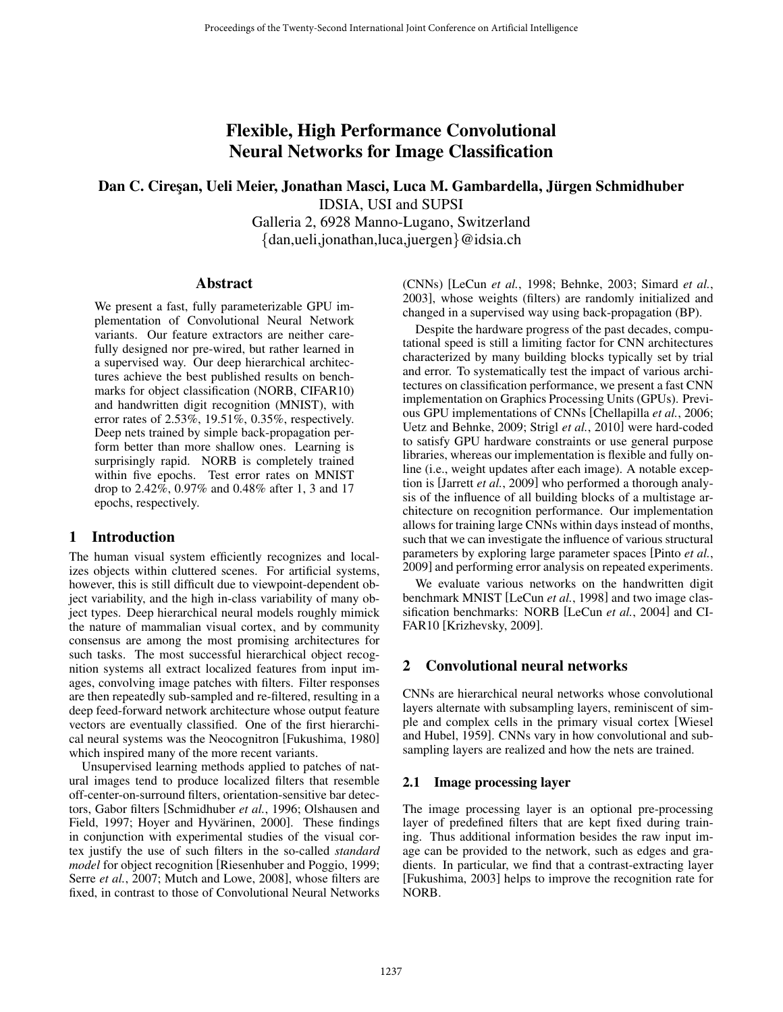# Flexible, High Performance Convolutional Neural Networks for Image Classification

## Dan C. Cireşan, Ueli Meier, Jonathan Masci, Luca M. Gambardella, Jürgen Schmidhuber IDSIA, USI and SUPSI

Galleria 2, 6928 Manno-Lugano, Switzerland {dan,ueli,jonathan,luca,juergen}@idsia.ch

## **Abstract**

We present a fast, fully parameterizable GPU implementation of Convolutional Neural Network variants. Our feature extractors are neither carefully designed nor pre-wired, but rather learned in a supervised way. Our deep hierarchical architectures achieve the best published results on benchmarks for object classification (NORB, CIFAR10) and handwritten digit recognition (MNIST), with error rates of 2.53%, 19.51%, 0.35%, respectively. Deep nets trained by simple back-propagation perform better than more shallow ones. Learning is surprisingly rapid. NORB is completely trained within five epochs. Test error rates on MNIST drop to 2.42%, 0.97% and 0.48% after 1, 3 and 17 epochs, respectively.

## 1 Introduction

The human visual system efficiently recognizes and localizes objects within cluttered scenes. For artificial systems, however, this is still difficult due to viewpoint-dependent object variability, and the high in-class variability of many object types. Deep hierarchical neural models roughly mimick the nature of mammalian visual cortex, and by community consensus are among the most promising architectures for such tasks. The most successful hierarchical object recognition systems all extract localized features from input images, convolving image patches with filters. Filter responses are then repeatedly sub-sampled and re-filtered, resulting in a deep feed-forward network architecture whose output feature vectors are eventually classified. One of the first hierarchical neural systems was the Neocognitron [Fukushima, 1980] which inspired many of the more recent variants.

Unsupervised learning methods applied to patches of natural images tend to produce localized filters that resemble off-center-on-surround filters, orientation-sensitive bar detectors, Gabor filters [Schmidhuber *et al.*, 1996; Olshausen and Field, 1997; Hoyer and Hyvärinen, 2000]. These findings in conjunction with experimental studies of the visual cortex justify the use of such filters in the so-called *standard model* for object recognition [Riesenhuber and Poggio, 1999; Serre *et al.*, 2007; Mutch and Lowe, 2008], whose filters are fixed, in contrast to those of Convolutional Neural Networks (CNNs) [LeCun *et al.*, 1998; Behnke, 2003; Simard *et al.*, 2003], whose weights (filters) are randomly initialized and changed in a supervised way using back-propagation (BP).

Despite the hardware progress of the past decades, computational speed is still a limiting factor for CNN architectures characterized by many building blocks typically set by trial and error. To systematically test the impact of various architectures on classification performance, we present a fast CNN implementation on Graphics Processing Units (GPUs). Previous GPU implementations of CNNs [Chellapilla *et al.*, 2006; Uetz and Behnke, 2009; Strigl *et al.*, 2010] were hard-coded to satisfy GPU hardware constraints or use general purpose libraries, whereas our implementation is flexible and fully online (i.e., weight updates after each image). A notable exception is [Jarrett *et al.*, 2009] who performed a thorough analysis of the influence of all building blocks of a multistage architecture on recognition performance. Our implementation allows for training large CNNs within days instead of months, such that we can investigate the influence of various structural parameters by exploring large parameter spaces [Pinto *et al.*, 2009] and performing error analysis on repeated experiments.

We evaluate various networks on the handwritten digit benchmark MNIST [LeCun *et al.*, 1998] and two image classification benchmarks: NORB [LeCun *et al.*, 2004] and CI-FAR10 [Krizhevsky, 2009].

## 2 Convolutional neural networks

CNNs are hierarchical neural networks whose convolutional layers alternate with subsampling layers, reminiscent of simple and complex cells in the primary visual cortex [Wiesel and Hubel, 1959]. CNNs vary in how convolutional and subsampling layers are realized and how the nets are trained.

## 2.1 Image processing layer

The image processing layer is an optional pre-processing layer of predefined filters that are kept fixed during training. Thus additional information besides the raw input image can be provided to the network, such as edges and gradients. In particular, we find that a contrast-extracting layer [Fukushima, 2003] helps to improve the recognition rate for NORB.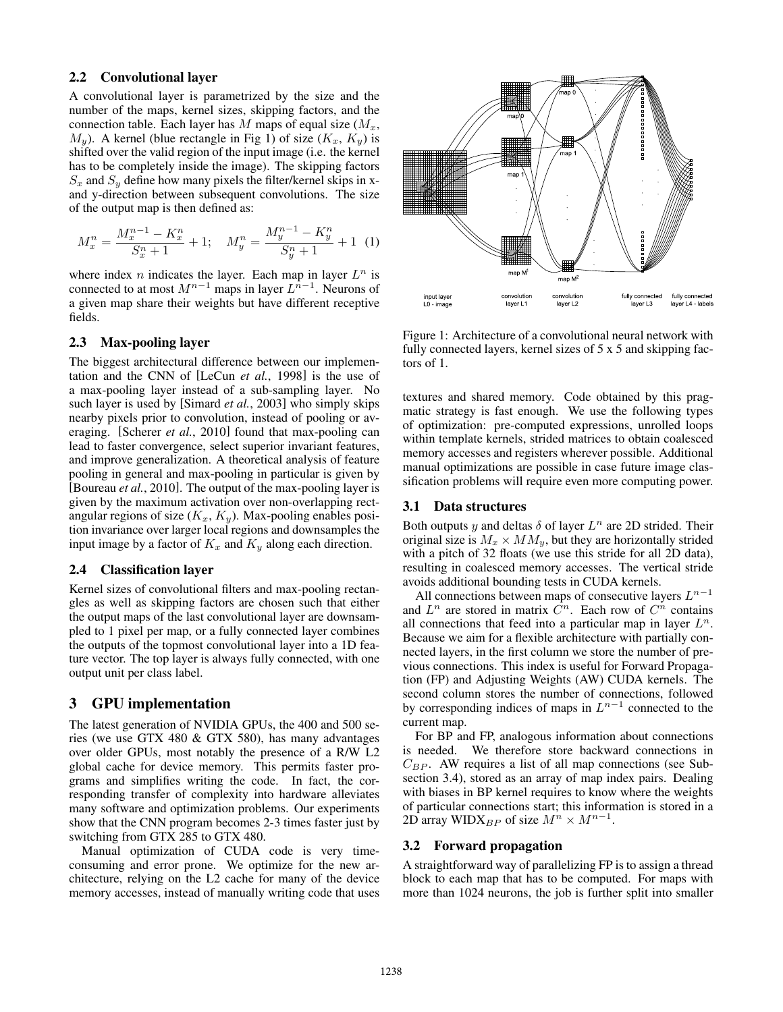#### 2.2 Convolutional layer

A convolutional layer is parametrized by the size and the number of the maps, kernel sizes, skipping factors, and the connection table. Each layer has M maps of equal size  $(M_x,$  $M_y$ ). A kernel (blue rectangle in Fig 1) of size  $(K_x, K_y)$  is shifted over the valid region of the input image (i.e. the kernel has to be completely inside the image). The skipping factors  $S_x$  and  $S_y$  define how many pixels the filter/kernel skips in xand y-direction between subsequent convolutions. The size of the output map is then defined as:

$$
M_x^n = \frac{M_x^{n-1} - K_x^n}{S_x^n + 1} + 1; \quad M_y^n = \frac{M_y^{n-1} - K_y^n}{S_y^n + 1} + 1 \tag{1}
$$

where index *n* indicates the layer. Each map in layer  $L^n$  is connected to at most  $M^{n-1}$  maps in layer  $L^{n-1}$ . Neurons of a given map share their weights but have different receptive fields.

## 2.3 Max-pooling layer

The biggest architectural difference between our implementation and the CNN of [LeCun *et al.*, 1998] is the use of a max-pooling layer instead of a sub-sampling layer. No such layer is used by [Simard *et al.*, 2003] who simply skips nearby pixels prior to convolution, instead of pooling or averaging. [Scherer *et al.*, 2010] found that max-pooling can lead to faster convergence, select superior invariant features, and improve generalization. A theoretical analysis of feature pooling in general and max-pooling in particular is given by [Boureau *et al.*, 2010]. The output of the max-pooling layer is given by the maximum activation over non-overlapping rectangular regions of size  $(K_x, K_y)$ . Max-pooling enables position invariance over larger local regions and downsamples the input image by a factor of  $K_x$  and  $K_y$  along each direction.

#### 2.4 Classification layer

Kernel sizes of convolutional filters and max-pooling rectangles as well as skipping factors are chosen such that either the output maps of the last convolutional layer are downsampled to 1 pixel per map, or a fully connected layer combines the outputs of the topmost convolutional layer into a 1D feature vector. The top layer is always fully connected, with one output unit per class label.

## 3 GPU implementation

The latest generation of NVIDIA GPUs, the 400 and 500 series (we use GTX 480 & GTX 580), has many advantages over older GPUs, most notably the presence of a R/W L2 global cache for device memory. This permits faster programs and simplifies writing the code. In fact, the corresponding transfer of complexity into hardware alleviates many software and optimization problems. Our experiments show that the CNN program becomes 2-3 times faster just by switching from GTX 285 to GTX 480.

Manual optimization of CUDA code is very timeconsuming and error prone. We optimize for the new architecture, relying on the L2 cache for many of the device memory accesses, instead of manually writing code that uses



Figure 1: Architecture of a convolutional neural network with fully connected layers, kernel sizes of 5 x 5 and skipping factors of 1.

textures and shared memory. Code obtained by this pragmatic strategy is fast enough. We use the following types of optimization: pre-computed expressions, unrolled loops within template kernels, strided matrices to obtain coalesced memory accesses and registers wherever possible. Additional manual optimizations are possible in case future image classification problems will require even more computing power.

#### 3.1 Data structures

Both outputs y and deltas  $\delta$  of layer  $L^n$  are 2D strided. Their original size is  $M_x \times MM_y$ , but they are horizontally strided with a pitch of 32 floats (we use this stride for all 2D data), resulting in coalesced memory accesses. The vertical stride avoids additional bounding tests in CUDA kernels.

All connections between maps of consecutive layers  $L^{n-1}$ and  $L^n$  are stored in matrix  $C^n$ . Each row of  $C^n$  contains all connections that feed into a particular map in layer  $L^n$ . Because we aim for a flexible architecture with partially connected layers, in the first column we store the number of previous connections. This index is useful for Forward Propagation (FP) and Adjusting Weights (AW) CUDA kernels. The second column stores the number of connections, followed by corresponding indices of maps in  $L^{n-1}$  connected to the current map.

For BP and FP, analogous information about connections is needed. We therefore store backward connections in  $C_{BP}$ . AW requires a list of all map connections (see Subsection 3.4), stored as an array of map index pairs. Dealing with biases in BP kernel requires to know where the weights of particular connections start; this information is stored in a 2D array WIDX<sub>BP</sub> of size  $M^n \times M^{n-1}$ .

#### 3.2 Forward propagation

A straightforward way of parallelizing FP is to assign a thread block to each map that has to be computed. For maps with more than 1024 neurons, the job is further split into smaller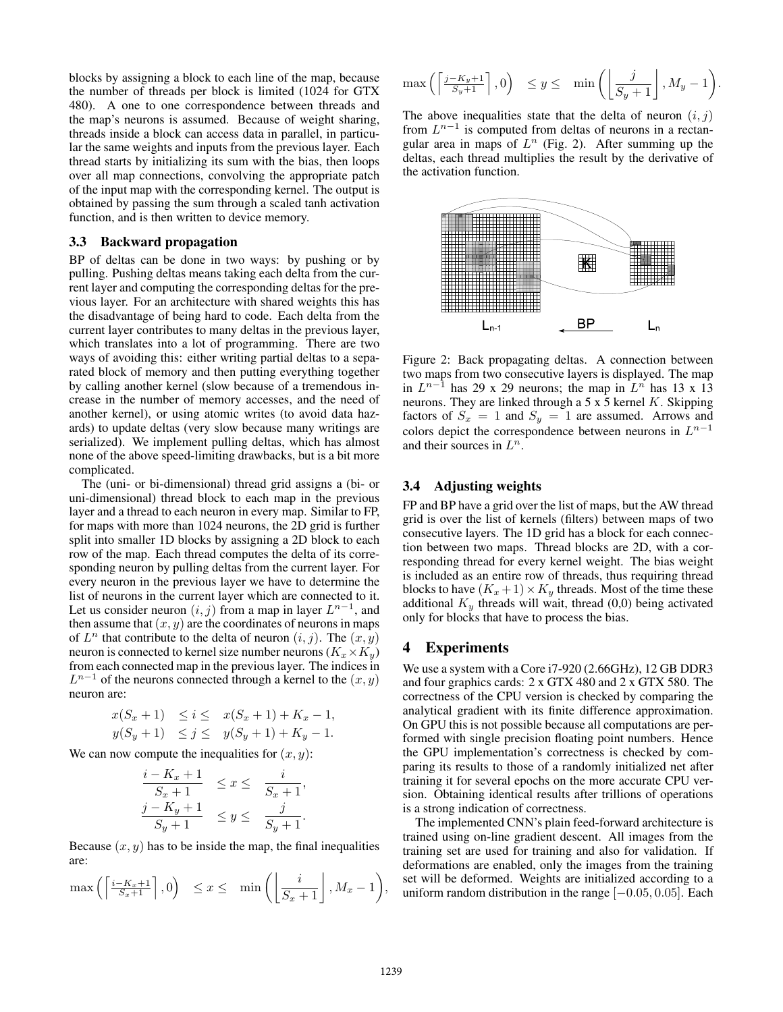blocks by assigning a block to each line of the map, because the number of threads per block is limited (1024 for GTX 480). A one to one correspondence between threads and the map's neurons is assumed. Because of weight sharing, threads inside a block can access data in parallel, in particular the same weights and inputs from the previous layer. Each thread starts by initializing its sum with the bias, then loops over all map connections, convolving the appropriate patch of the input map with the corresponding kernel. The output is obtained by passing the sum through a scaled tanh activation function, and is then written to device memory.

#### 3.3 Backward propagation

BP of deltas can be done in two ways: by pushing or by pulling. Pushing deltas means taking each delta from the current layer and computing the corresponding deltas for the previous layer. For an architecture with shared weights this has the disadvantage of being hard to code. Each delta from the current layer contributes to many deltas in the previous layer, which translates into a lot of programming. There are two ways of avoiding this: either writing partial deltas to a separated block of memory and then putting everything together by calling another kernel (slow because of a tremendous increase in the number of memory accesses, and the need of another kernel), or using atomic writes (to avoid data hazards) to update deltas (very slow because many writings are serialized). We implement pulling deltas, which has almost none of the above speed-limiting drawbacks, but is a bit more complicated.

The (uni- or bi-dimensional) thread grid assigns a (bi- or uni-dimensional) thread block to each map in the previous layer and a thread to each neuron in every map. Similar to FP, for maps with more than 1024 neurons, the 2D grid is further split into smaller 1D blocks by assigning a 2D block to each row of the map. Each thread computes the delta of its corresponding neuron by pulling deltas from the current layer. For every neuron in the previous layer we have to determine the list of neurons in the current layer which are connected to it. Let us consider neuron  $(i, j)$  from a map in layer  $L^{n-1}$ , and then assume that  $(x, y)$  are the coordinates of neurons in maps of  $L^n$  that contribute to the delta of neuron  $(i, j)$ . The  $(x, y)$ neuron is connected to kernel size number neurons ( $K_x \times K_y$ ) from each connected map in the previous layer. The indices in  $L^{n-1}$  of the neurons connected through a kernel to the  $(x, y)$ neuron are:

$$
x(S_x + 1) \le i \le x(S_x + 1) + K_x - 1,
$$
  
\n
$$
y(S_y + 1) \le j \le y(S_y + 1) + K_y - 1.
$$

We can now compute the inequalities for  $(x, y)$ :

$$
\frac{i - K_x + 1}{S_x + 1} \le x \le \frac{i}{S_x + 1},
$$
  

$$
\frac{j - K_y + 1}{S_y + 1} \le y \le \frac{j}{S_y + 1}.
$$

Because  $(x, y)$  has to be inside the map, the final inequalities are:

$$
\max\left(\left\lceil\frac{i-K_x+1}{S_x+1}\right\rceil,0\right) \leq x \leq \min\left(\left\lfloor\frac{i}{S_x+1}\right\rfloor, M_x-1\right),
$$

$$
\max\left(\left\lceil \frac{j-K_y+1}{S_y+1} \right\rceil, 0\right) \le y \le \min\left(\left\lfloor \frac{j}{S_y+1} \right\rfloor, M_y-1\right).
$$

The above inequalities state that the delta of neuron  $(i, j)$ from  $L^{n-1}$  is computed from deltas of neurons in a rectangular area in maps of  $L^n$  (Fig. 2). After summing up the deltas, each thread multiplies the result by the derivative of the activation function.



Figure 2: Back propagating deltas. A connection between two maps from two consecutive layers is displayed. The map in  $L^{n-1}$  has 29 x 29 neurons; the map in  $L^n$  has 13 x 13 neurons. They are linked through a 5 x  $\overline{5}$  kernel K. Skipping factors of  $S_x = 1$  and  $S_y = 1$  are assumed. Arrows and colors depict the correspondence between neurons in  $L^{n-1}$ and their sources in  $L^n$ .

## 3.4 Adjusting weights

FP and BP have a grid over the list of maps, but the AW thread grid is over the list of kernels (filters) between maps of two consecutive layers. The 1D grid has a block for each connection between two maps. Thread blocks are 2D, with a corresponding thread for every kernel weight. The bias weight is included as an entire row of threads, thus requiring thread blocks to have  $(K_x + 1) \times K_y$  threads. Most of the time these additional  $K<sub>y</sub>$  threads will wait, thread (0,0) being activated only for blocks that have to process the bias.

## 4 Experiments

We use a system with a Core i7-920 (2.66GHz), 12 GB DDR3 and four graphics cards: 2 x GTX 480 and 2 x GTX 580. The correctness of the CPU version is checked by comparing the analytical gradient with its finite difference approximation. On GPU this is not possible because all computations are performed with single precision floating point numbers. Hence the GPU implementation's correctness is checked by comparing its results to those of a randomly initialized net after training it for several epochs on the more accurate CPU version. Obtaining identical results after trillions of operations is a strong indication of correctness.

The implemented CNN's plain feed-forward architecture is trained using on-line gradient descent. All images from the training set are used for training and also for validation. If deformations are enabled, only the images from the training set will be deformed. Weights are initialized according to a uniform random distribution in the range  $[-0.05, 0.05]$ . Each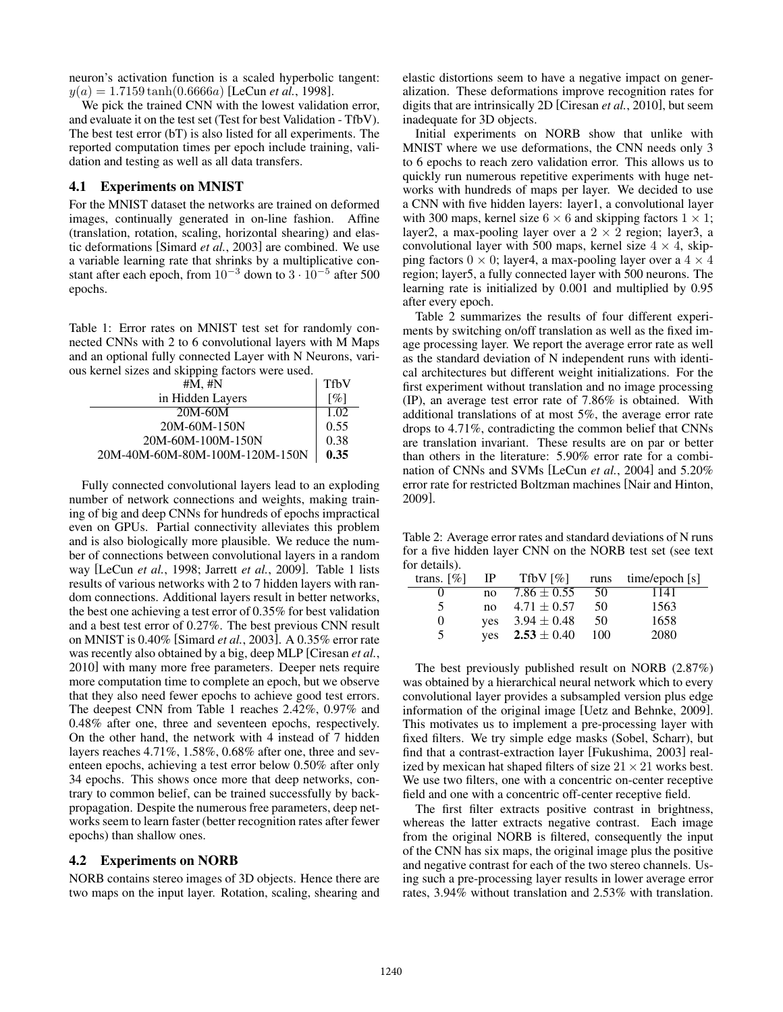neuron's activation function is a scaled hyperbolic tangent:  $y(a)=1.7159 \tanh(0.6666a)$  [LeCun *et al.*, 1998].

We pick the trained CNN with the lowest validation error, and evaluate it on the test set (Test for best Validation - TfbV). The best test error (bT) is also listed for all experiments. The reported computation times per epoch include training, validation and testing as well as all data transfers.

## 4.1 Experiments on MNIST

For the MNIST dataset the networks are trained on deformed images, continually generated in on-line fashion. Affine (translation, rotation, scaling, horizontal shearing) and elastic deformations [Simard *et al.*, 2003] are combined. We use a variable learning rate that shrinks by a multiplicative constant after each epoch, from  $10^{-3}$  down to  $3 \cdot 10^{-5}$  after 500 epochs.

Table 1: Error rates on MNIST test set for randomly connected CNNs with 2 to 6 convolutional layers with M Maps and an optional fully connected Layer with N Neurons, various kernel sizes and skipping factors were used.

| #M, #N                         | <b>TfbV</b>        |
|--------------------------------|--------------------|
| in Hidden Layers               | $\lceil \% \rceil$ |
| 20M-60M                        | 1.02               |
| 20M-60M-150N                   | 0.55               |
| 20M-60M-100M-150N              | 0.38               |
| 20M-40M-60M-80M-100M-120M-150N | 0.35               |

Fully connected convolutional layers lead to an exploding number of network connections and weights, making training of big and deep CNNs for hundreds of epochs impractical even on GPUs. Partial connectivity alleviates this problem and is also biologically more plausible. We reduce the number of connections between convolutional layers in a random way [LeCun *et al.*, 1998; Jarrett *et al.*, 2009]. Table 1 lists results of various networks with 2 to 7 hidden layers with random connections. Additional layers result in better networks, the best one achieving a test error of 0.35% for best validation and a best test error of 0.27%. The best previous CNN result on MNIST is 0.40% [Simard *et al.*, 2003]. A 0.35% error rate was recently also obtained by a big, deep MLP [Ciresan *et al.*, 2010] with many more free parameters. Deeper nets require more computation time to complete an epoch, but we observe that they also need fewer epochs to achieve good test errors. The deepest CNN from Table 1 reaches 2.42%, 0.97% and 0.48% after one, three and seventeen epochs, respectively. On the other hand, the network with 4 instead of 7 hidden layers reaches 4.71%, 1.58%, 0.68% after one, three and seventeen epochs, achieving a test error below 0.50% after only 34 epochs. This shows once more that deep networks, contrary to common belief, can be trained successfully by backpropagation. Despite the numerous free parameters, deep networks seem to learn faster (better recognition rates after fewer epochs) than shallow ones.

#### 4.2 Experiments on NORB

NORB contains stereo images of 3D objects. Hence there are two maps on the input layer. Rotation, scaling, shearing and elastic distortions seem to have a negative impact on generalization. These deformations improve recognition rates for digits that are intrinsically 2D [Ciresan *et al.*, 2010], but seem inadequate for 3D objects.

Initial experiments on NORB show that unlike with MNIST where we use deformations, the CNN needs only 3 to 6 epochs to reach zero validation error. This allows us to quickly run numerous repetitive experiments with huge networks with hundreds of maps per layer. We decided to use a CNN with five hidden layers: layer1, a convolutional layer with 300 maps, kernel size  $6 \times 6$  and skipping factors  $1 \times 1$ ; layer2, a max-pooling layer over a  $2 \times 2$  region; layer3, a convolutional layer with 500 maps, kernel size  $4 \times 4$ , skipping factors  $0 \times 0$ ; layer4, a max-pooling layer over a  $4 \times 4$ region; layer5, a fully connected layer with 500 neurons. The learning rate is initialized by 0.001 and multiplied by 0.95 after every epoch.

Table 2 summarizes the results of four different experiments by switching on/off translation as well as the fixed image processing layer. We report the average error rate as well as the standard deviation of N independent runs with identical architectures but different weight initializations. For the first experiment without translation and no image processing (IP), an average test error rate of 7.86% is obtained. With additional translations of at most 5%, the average error rate drops to 4.71%, contradicting the common belief that CNNs are translation invariant. These results are on par or better than others in the literature: 5.90% error rate for a combination of CNNs and SVMs [LeCun *et al.*, 2004] and 5.20% error rate for restricted Boltzman machines [Nair and Hinton, 2009].

Table 2: Average error rates and standard deviations of N runs for a five hidden layer CNN on the NORB test set (see text for details).

| trans. $[\%]$ | IP           | TfbV [%]        |     | runs time/epoch [s] |
|---------------|--------------|-----------------|-----|---------------------|
|               | no           | $7.86 \pm 0.55$ | 50  | 1141                |
| 5             | $n_{\Omega}$ | $4.71 \pm 0.57$ | 50  | 1563                |
| $\Omega$      | ves          | $3.94 \pm 0.48$ | 50  | 1658                |
| 5             | ves          | $2.53 \pm 0.40$ | 100 | 2080                |

The best previously published result on NORB (2.87%) was obtained by a hierarchical neural network which to every convolutional layer provides a subsampled version plus edge information of the original image [Uetz and Behnke, 2009]. This motivates us to implement a pre-processing layer with fixed filters. We try simple edge masks (Sobel, Scharr), but find that a contrast-extraction layer [Fukushima, 2003] realized by mexican hat shaped filters of size  $21 \times 21$  works best. We use two filters, one with a concentric on-center receptive field and one with a concentric off-center receptive field.

The first filter extracts positive contrast in brightness, whereas the latter extracts negative contrast. Each image from the original NORB is filtered, consequently the input of the CNN has six maps, the original image plus the positive and negative contrast for each of the two stereo channels. Using such a pre-processing layer results in lower average error rates, 3.94% without translation and 2.53% with translation.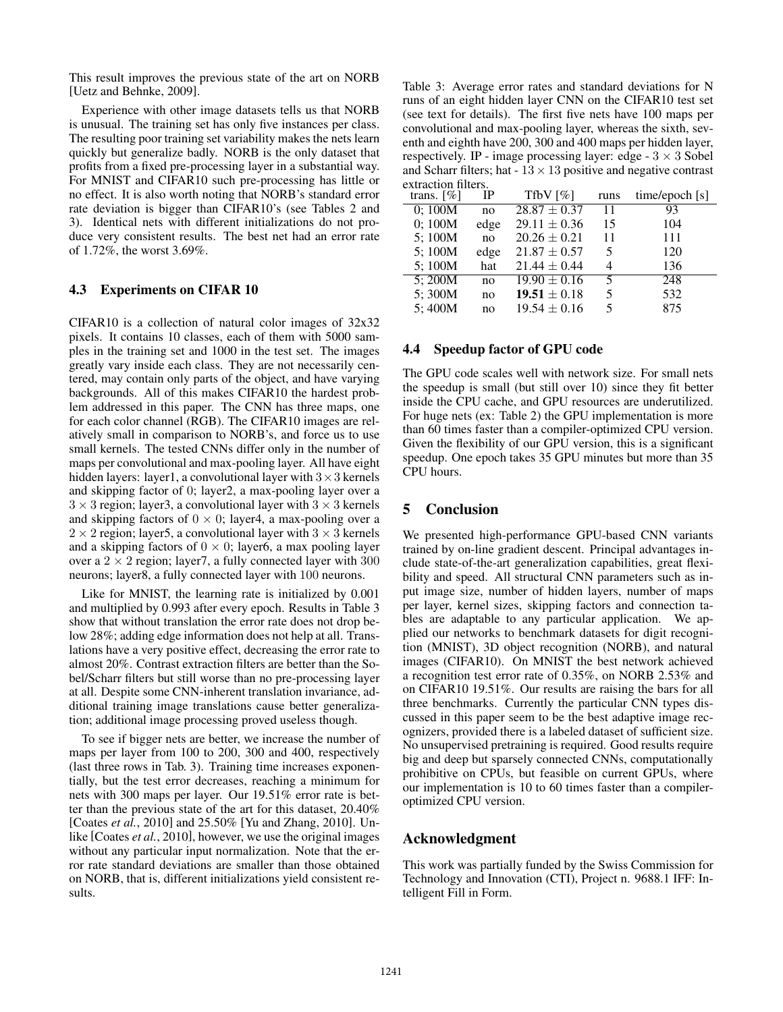This result improves the previous state of the art on NORB [Uetz and Behnke, 2009].

Experience with other image datasets tells us that NORB is unusual. The training set has only five instances per class. The resulting poor training set variability makes the nets learn quickly but generalize badly. NORB is the only dataset that profits from a fixed pre-processing layer in a substantial way. For MNIST and CIFAR10 such pre-processing has little or no effect. It is also worth noting that NORB's standard error rate deviation is bigger than CIFAR10's (see Tables 2 and 3). Identical nets with different initializations do not produce very consistent results. The best net had an error rate of 1.72%, the worst 3.69%.

#### 4.3 Experiments on CIFAR 10

CIFAR10 is a collection of natural color images of 32x32 pixels. It contains 10 classes, each of them with 5000 samples in the training set and 1000 in the test set. The images greatly vary inside each class. They are not necessarily centered, may contain only parts of the object, and have varying backgrounds. All of this makes CIFAR10 the hardest problem addressed in this paper. The CNN has three maps, one for each color channel (RGB). The CIFAR10 images are relatively small in comparison to NORB's, and force us to use small kernels. The tested CNNs differ only in the number of maps per convolutional and max-pooling layer. All have eight hidden layers: layer1, a convolutional layer with  $3 \times 3$  kernels and skipping factor of 0; layer2, a max-pooling layer over a  $3 \times 3$  region; layer3, a convolutional layer with  $3 \times 3$  kernels and skipping factors of  $0 \times 0$ ; layer4, a max-pooling over a  $2 \times 2$  region; layer5, a convolutional layer with  $3 \times 3$  kernels and a skipping factors of  $0 \times 0$ ; layer6, a max pooling layer over a  $2 \times 2$  region; layer7, a fully connected layer with 300 neurons; layer8, a fully connected layer with 100 neurons.

Like for MNIST, the learning rate is initialized by 0.001 and multiplied by 0.993 after every epoch. Results in Table 3 show that without translation the error rate does not drop below 28%; adding edge information does not help at all. Translations have a very positive effect, decreasing the error rate to almost 20%. Contrast extraction filters are better than the Sobel/Scharr filters but still worse than no pre-processing layer at all. Despite some CNN-inherent translation invariance, additional training image translations cause better generalization; additional image processing proved useless though.

To see if bigger nets are better, we increase the number of maps per layer from 100 to 200, 300 and 400, respectively (last three rows in Tab. 3). Training time increases exponentially, but the test error decreases, reaching a minimum for nets with 300 maps per layer. Our 19.51% error rate is better than the previous state of the art for this dataset, 20.40% [Coates *et al.*, 2010] and 25.50% [Yu and Zhang, 2010]. Unlike [Coates *et al.*, 2010], however, we use the original images without any particular input normalization. Note that the error rate standard deviations are smaller than those obtained on NORB, that is, different initializations yield consistent results.

Table 3: Average error rates and standard deviations for N runs of an eight hidden layer CNN on the CIFAR10 test set (see text for details). The first five nets have 100 maps per convolutional and max-pooling layer, whereas the sixth, seventh and eighth have 200, 300 and 400 maps per hidden layer, respectively. IP - image processing layer: edge -  $3 \times 3$  Sobel and Scharr filters; hat  $-13 \times 13$  positive and negative contrast extraction filters.

| trans. $[\%]$ | IP   | Tfby [%]         | runs | time/epoch $[s]$ |
|---------------|------|------------------|------|------------------|
| 0;100M        | no   | $28.87 \pm 0.37$ | 11   | 93               |
| 0; 100M       | edge | $29.11 \pm 0.36$ | 15   | 104              |
| 5;100M        | no   | $20.26 \pm 0.21$ | 11   | 111              |
| 5;100M        | edge | $21.87 \pm 0.57$ | 5    | 120              |
| 5;100M        | hat  | $21.44 \pm 0.44$ | 4    | 136              |
| 5;200M        | no   | $19.90 \pm 0.16$ | 5    | 248              |
| 5;300M        | no   | $19.51 \pm 0.18$ | 5    | 532              |
| 5;400M        | no   | $19.54 \pm 0.16$ | 5    | 875              |
|               |      |                  |      |                  |

## 4.4 Speedup factor of GPU code

The GPU code scales well with network size. For small nets the speedup is small (but still over 10) since they fit better inside the CPU cache, and GPU resources are underutilized. For huge nets (ex: Table 2) the GPU implementation is more than 60 times faster than a compiler-optimized CPU version. Given the flexibility of our GPU version, this is a significant speedup. One epoch takes 35 GPU minutes but more than 35 CPU hours.

## 5 Conclusion

We presented high-performance GPU-based CNN variants trained by on-line gradient descent. Principal advantages include state-of-the-art generalization capabilities, great flexibility and speed. All structural CNN parameters such as input image size, number of hidden layers, number of maps per layer, kernel sizes, skipping factors and connection tables are adaptable to any particular application. We applied our networks to benchmark datasets for digit recognition (MNIST), 3D object recognition (NORB), and natural images (CIFAR10). On MNIST the best network achieved a recognition test error rate of 0.35%, on NORB 2.53% and on CIFAR10 19.51%. Our results are raising the bars for all three benchmarks. Currently the particular CNN types discussed in this paper seem to be the best adaptive image recognizers, provided there is a labeled dataset of sufficient size. No unsupervised pretraining is required. Good results require big and deep but sparsely connected CNNs, computationally prohibitive on CPUs, but feasible on current GPUs, where our implementation is 10 to 60 times faster than a compileroptimized CPU version.

## Acknowledgment

This work was partially funded by the Swiss Commission for Technology and Innovation (CTI), Project n. 9688.1 IFF: Intelligent Fill in Form.